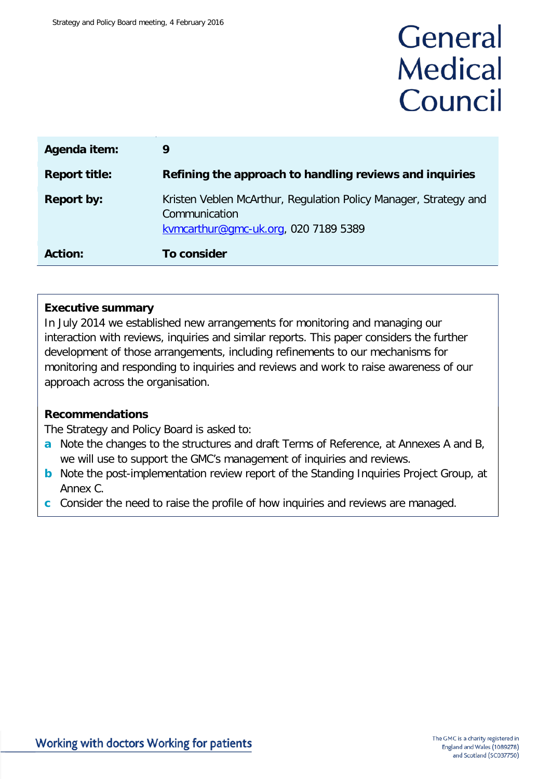# General **Medical** Council

| Agenda item:         | 9                                                                                                                         |  |  |
|----------------------|---------------------------------------------------------------------------------------------------------------------------|--|--|
| <b>Report title:</b> | Refining the approach to handling reviews and inquiries                                                                   |  |  |
| <b>Report by:</b>    | Kristen Veblen McArthur, Regulation Policy Manager, Strategy and<br>Communication<br>kvmcarthur@gmc-uk.org, 020 7189 5389 |  |  |
| <b>Action:</b>       | To consider                                                                                                               |  |  |

#### **Executive summary**

In July 2014 we established new arrangements for monitoring and managing our interaction with reviews, inquiries and similar reports. This paper considers the further development of those arrangements, including refinements to our mechanisms for monitoring and responding to inquiries and reviews and work to raise awareness of our approach across the organisation.

#### **Recommendations**

The Strategy and Policy Board is asked to:

- **a** Note the changes to the structures and draft Terms of Reference, at Annexes A and B, we will use to support the GMC's management of inquiries and reviews.
- **b** Note the post-implementation review report of the Standing Inquiries Project Group, at Annex C.
- **c** Consider the need to raise the profile of how inquiries and reviews are managed.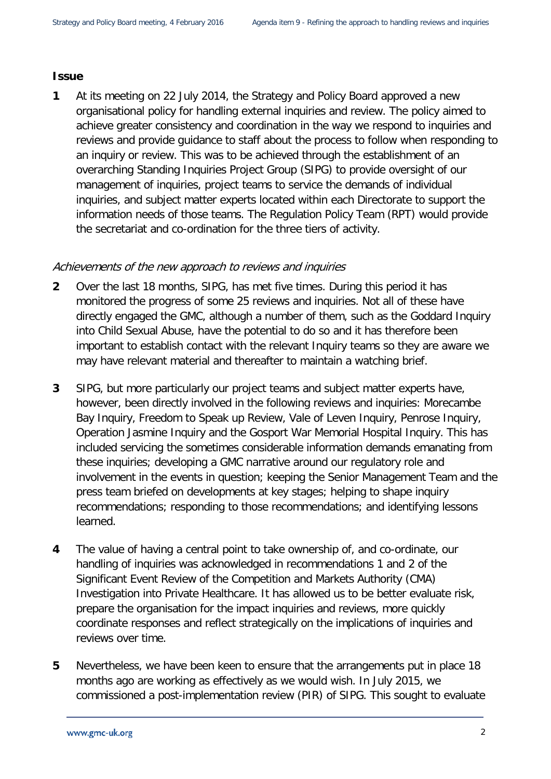#### **Issue**

**1** At its meeting on 22 July 2014, the Strategy and Policy Board approved a new organisational policy for handling external inquiries and review. The policy aimed to achieve greater consistency and coordination in the way we respond to inquiries and reviews and provide guidance to staff about the process to follow when responding to an inquiry or review. This was to be achieved through the establishment of an overarching Standing Inquiries Project Group (SIPG) to provide oversight of our management of inquiries, project teams to service the demands of individual inquiries, and subject matter experts located within each Directorate to support the information needs of those teams. The Regulation Policy Team (RPT) would provide the secretariat and co-ordination for the three tiers of activity.

#### Achievements of the new approach to reviews and inquiries

- **2** Over the last 18 months, SIPG, has met five times. During this period it has monitored the progress of some 25 reviews and inquiries. Not all of these have directly engaged the GMC, although a number of them, such as the Goddard Inquiry into Child Sexual Abuse, have the potential to do so and it has therefore been important to establish contact with the relevant Inquiry teams so they are aware we may have relevant material and thereafter to maintain a watching brief.
- **3** SIPG, but more particularly our project teams and subject matter experts have, however, been directly involved in the following reviews and inquiries: Morecambe Bay Inquiry, Freedom to Speak up Review, Vale of Leven Inquiry, Penrose Inquiry, Operation Jasmine Inquiry and the Gosport War Memorial Hospital Inquiry. This has included servicing the sometimes considerable information demands emanating from these inquiries; developing a GMC narrative around our regulatory role and involvement in the events in question; keeping the Senior Management Team and the press team briefed on developments at key stages; helping to shape inquiry recommendations; responding to those recommendations; and identifying lessons learned.
- **4** The value of having a central point to take ownership of, and co-ordinate, our handling of inquiries was acknowledged in recommendations 1 and 2 of the Significant Event Review of the Competition and Markets Authority (CMA) Investigation into Private Healthcare. It has allowed us to be better evaluate risk, prepare the organisation for the impact inquiries and reviews, more quickly coordinate responses and reflect strategically on the implications of inquiries and reviews over time.
- **5** Nevertheless, we have been keen to ensure that the arrangements put in place 18 months ago are working as effectively as we would wish. In July 2015, we commissioned a post-implementation review (PIR) of SIPG. This sought to evaluate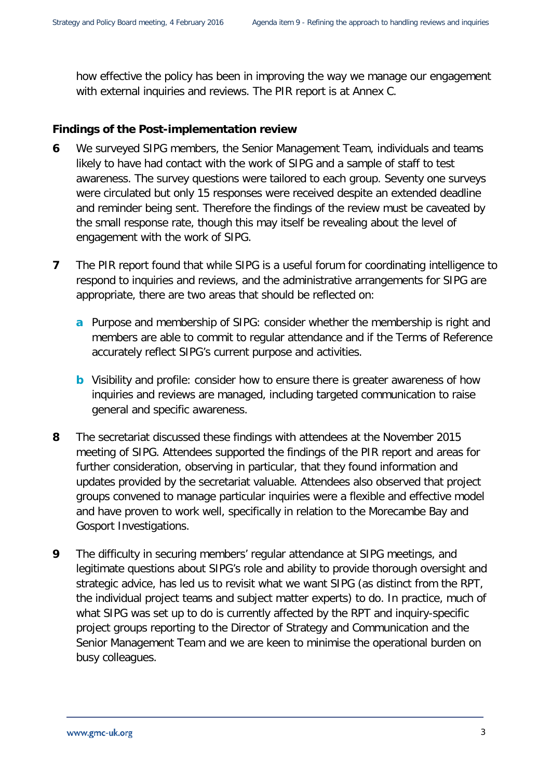how effective the policy has been in improving the way we manage our engagement with external inquiries and reviews. The PIR report is at Annex C.

#### **Findings of the Post-implementation review**

- **6** We surveyed SIPG members, the Senior Management Team, individuals and teams likely to have had contact with the work of SIPG and a sample of staff to test awareness. The survey questions were tailored to each group. Seventy one surveys were circulated but only 15 responses were received despite an extended deadline and reminder being sent. Therefore the findings of the review must be caveated by the small response rate, though this may itself be revealing about the level of engagement with the work of SIPG.
- **7** The PIR report found that while SIPG is a useful forum for coordinating intelligence to respond to inquiries and reviews, and the administrative arrangements for SIPG are appropriate, there are two areas that should be reflected on:
	- **a** Purpose and membership of SIPG: consider whether the membership is right and members are able to commit to regular attendance and if the Terms of Reference accurately reflect SIPG's current purpose and activities.
	- **b** Visibility and profile: consider how to ensure there is greater awareness of how inquiries and reviews are managed, including targeted communication to raise general and specific awareness.
- **8** The secretariat discussed these findings with attendees at the November 2015 meeting of SIPG. Attendees supported the findings of the PIR report and areas for further consideration, observing in particular, that they found information and updates provided by the secretariat valuable. Attendees also observed that project groups convened to manage particular inquiries were a flexible and effective model and have proven to work well, specifically in relation to the Morecambe Bay and Gosport Investigations.
- **9** The difficulty in securing members' regular attendance at SIPG meetings, and legitimate questions about SIPG's role and ability to provide thorough oversight and strategic advice, has led us to revisit what we want SIPG (as distinct from the RPT, the individual project teams and subject matter experts) to do. In practice, much of what SIPG was set up to do is currently affected by the RPT and inquiry-specific project groups reporting to the Director of Strategy and Communication and the Senior Management Team and we are keen to minimise the operational burden on busy colleagues.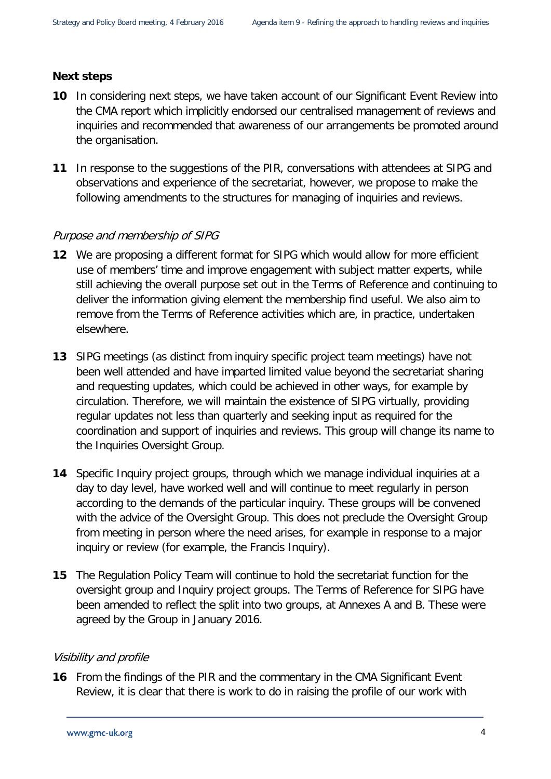#### **Next steps**

- **10** In considering next steps, we have taken account of our Significant Event Review into the CMA report which implicitly endorsed our centralised management of reviews and inquiries and recommended that awareness of our arrangements be promoted around the organisation.
- **11** In response to the suggestions of the PIR, conversations with attendees at SIPG and observations and experience of the secretariat, however, we propose to make the following amendments to the structures for managing of inquiries and reviews.

#### Purpose and membership of SIPG

- **12** We are proposing a different format for SIPG which would allow for more efficient use of members' time and improve engagement with subject matter experts, while still achieving the overall purpose set out in the Terms of Reference and continuing to deliver the information giving element the membership find useful. We also aim to remove from the Terms of Reference activities which are, in practice, undertaken elsewhere.
- **13** SIPG meetings (as distinct from inquiry specific project team meetings) have not been well attended and have imparted limited value beyond the secretariat sharing and requesting updates, which could be achieved in other ways, for example by circulation. Therefore, we will maintain the existence of SIPG virtually, providing regular updates not less than quarterly and seeking input as required for the coordination and support of inquiries and reviews. This group will change its name to the Inquiries Oversight Group.
- **14** Specific Inquiry project groups, through which we manage individual inquiries at a day to day level, have worked well and will continue to meet regularly in person according to the demands of the particular inquiry. These groups will be convened with the advice of the Oversight Group. This does not preclude the Oversight Group from meeting in person where the need arises, for example in response to a major inquiry or review (for example, the Francis Inquiry).
- **15** The Regulation Policy Team will continue to hold the secretariat function for the oversight group and Inquiry project groups. The Terms of Reference for SIPG have been amended to reflect the split into two groups, at Annexes A and B. These were agreed by the Group in January 2016.

#### Visibility and profile

**16** From the findings of the PIR and the commentary in the CMA Significant Event Review, it is clear that there is work to do in raising the profile of our work with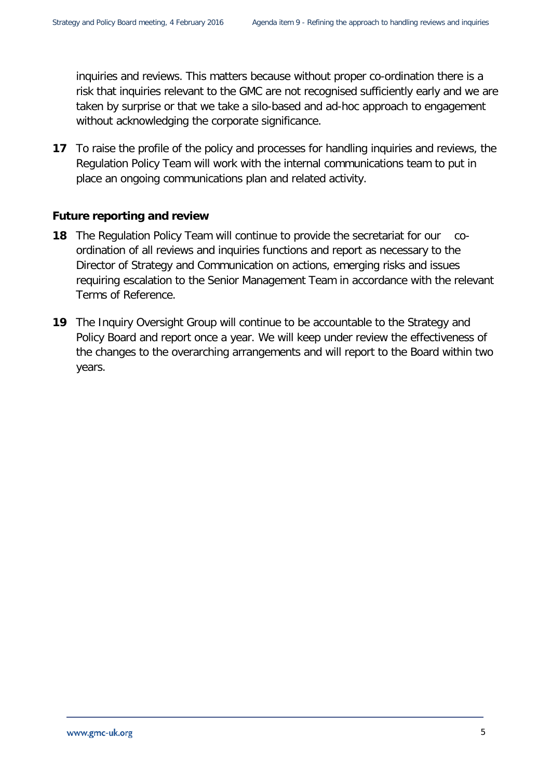inquiries and reviews. This matters because without proper co-ordination there is a risk that inquiries relevant to the GMC are not recognised sufficiently early and we are taken by surprise or that we take a silo-based and ad-hoc approach to engagement without acknowledging the corporate significance.

**17** To raise the profile of the policy and processes for handling inquiries and reviews, the Regulation Policy Team will work with the internal communications team to put in place an ongoing communications plan and related activity.

#### **Future reporting and review**

- **18** The Regulation Policy Team will continue to provide the secretariat for our coordination of all reviews and inquiries functions and report as necessary to the Director of Strategy and Communication on actions, emerging risks and issues requiring escalation to the Senior Management Team in accordance with the relevant Terms of Reference.
- **19** The Inquiry Oversight Group will continue to be accountable to the Strategy and Policy Board and report once a year. We will keep under review the effectiveness of the changes to the overarching arrangements and will report to the Board within two years.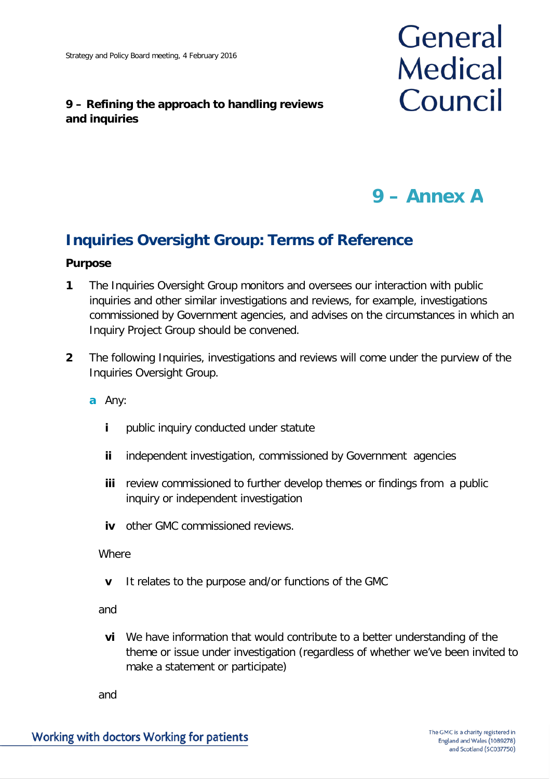#### **9 – Refining the approach to handling reviews and inquiries**



# **9 – Annex A**

## **Inquiries Oversight Group: Terms of Reference**

#### **Purpose**

- **1** The Inquiries Oversight Group monitors and oversees our interaction with public inquiries and other similar investigations and reviews, for example, investigations commissioned by Government agencies, and advises on the circumstances in which an Inquiry Project Group should be convened.
- **2** The following Inquiries, investigations and reviews will come under the purview of the Inquiries Oversight Group.
	- **a** Any:
		- **i** public inquiry conducted under statute
		- **ii** independent investigation, commissioned by Government agencies
		- **iii** review commissioned to further develop themes or findings from a public inquiry or independent investigation
		- **iv** other GMC commissioned reviews.

**Where** 

**v** It relates to the purpose and/or functions of the GMC

and

**vi** We have information that would contribute to a better understanding of the theme or issue under investigation (regardless of whether we've been invited to make a statement or participate)

and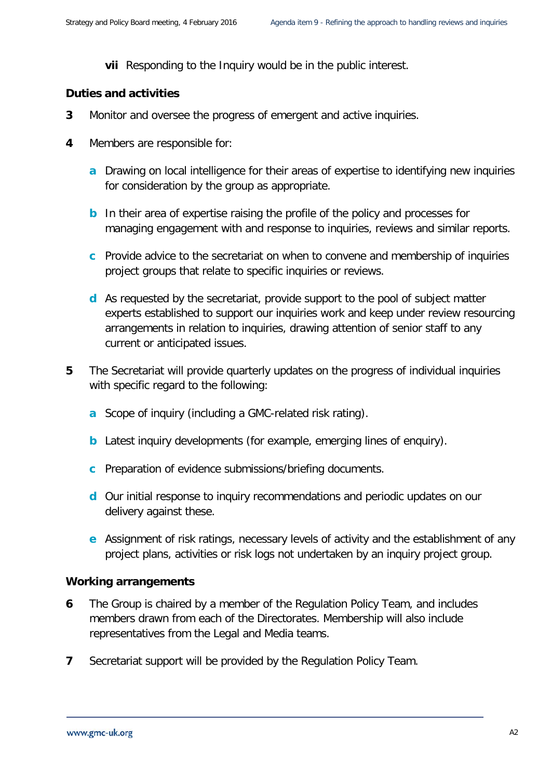**vii** Responding to the Inquiry would be in the public interest.

#### **Duties and activities**

- **3** Monitor and oversee the progress of emergent and active inquiries.
- **4** Members are responsible for:
	- **a** Drawing on local intelligence for their areas of expertise to identifying new inquiries for consideration by the group as appropriate.
	- **b** In their area of expertise raising the profile of the policy and processes for managing engagement with and response to inquiries, reviews and similar reports.
	- **c** Provide advice to the secretariat on when to convene and membership of inquiries project groups that relate to specific inquiries or reviews.
	- **d** As requested by the secretariat, provide support to the pool of subject matter experts established to support our inquiries work and keep under review resourcing arrangements in relation to inquiries, drawing attention of senior staff to any current or anticipated issues.
- **5** The Secretariat will provide quarterly updates on the progress of individual inquiries with specific regard to the following:
	- **a** Scope of inquiry (including a GMC-related risk rating).
	- **b** Latest inquiry developments (for example, emerging lines of enquiry).
	- **c** Preparation of evidence submissions/briefing documents.
	- **d** Our initial response to inquiry recommendations and periodic updates on our delivery against these.
	- **e** Assignment of risk ratings, necessary levels of activity and the establishment of any project plans, activities or risk logs not undertaken by an inquiry project group.

#### **Working arrangements**

- **6** The Group is chaired by a member of the Regulation Policy Team, and includes members drawn from each of the Directorates. Membership will also include representatives from the Legal and Media teams.
- **7** Secretariat support will be provided by the Regulation Policy Team.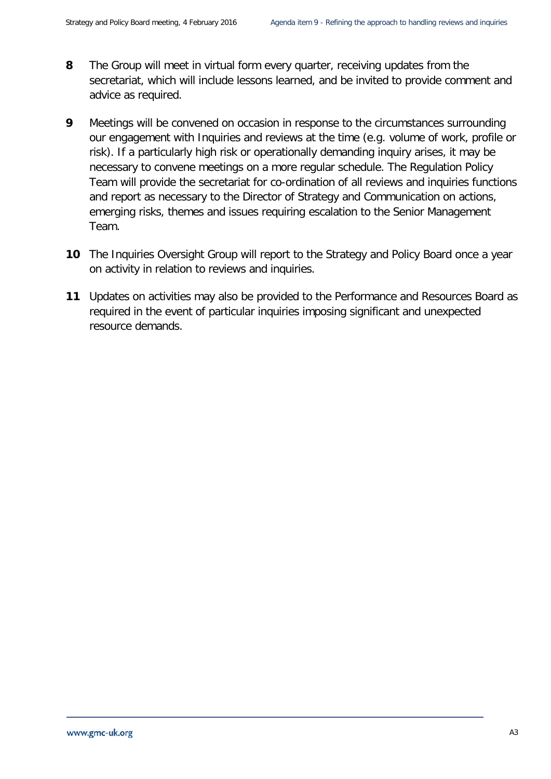- **8** The Group will meet in virtual form every quarter, receiving updates from the secretariat, which will include lessons learned, and be invited to provide comment and advice as required.
- **9** Meetings will be convened on occasion in response to the circumstances surrounding our engagement with Inquiries and reviews at the time (e.g. volume of work, profile or risk). If a particularly high risk or operationally demanding inquiry arises, it may be necessary to convene meetings on a more regular schedule. The Regulation Policy Team will provide the secretariat for co-ordination of all reviews and inquiries functions and report as necessary to the Director of Strategy and Communication on actions, emerging risks, themes and issues requiring escalation to the Senior Management Team.
- **10** The Inquiries Oversight Group will report to the Strategy and Policy Board once a year on activity in relation to reviews and inquiries.
- **11** Updates on activities may also be provided to the Performance and Resources Board as required in the event of particular inquiries imposing significant and unexpected resource demands.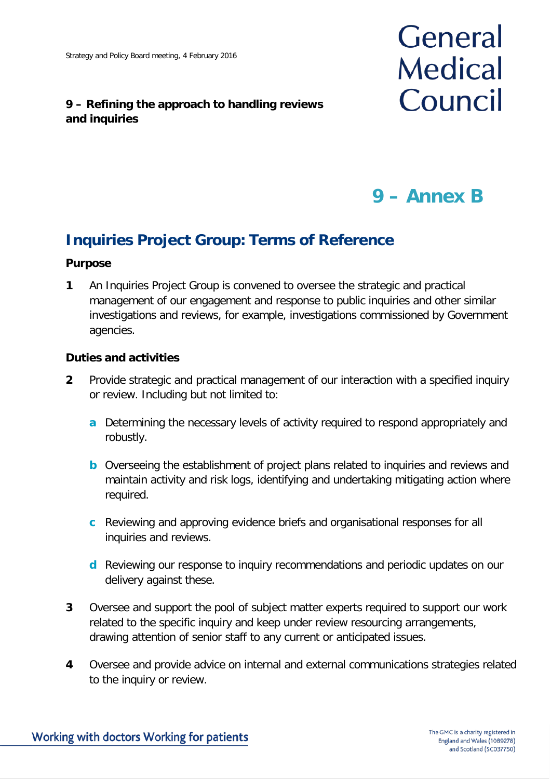#### **9 – Refining the approach to handling reviews and inquiries**

# General **Medical** Council

# **9 – Annex B**

## **Inquiries Project Group: Terms of Reference**

#### **Purpose**

**1** An Inquiries Project Group is convened to oversee the strategic and practical management of our engagement and response to public inquiries and other similar investigations and reviews, for example, investigations commissioned by Government agencies.

#### **Duties and activities**

- **2** Provide strategic and practical management of our interaction with a specified inquiry or review. Including but not limited to:
	- **a** Determining the necessary levels of activity required to respond appropriately and robustly.
	- **b** Overseeing the establishment of project plans related to inquiries and reviews and maintain activity and risk logs, identifying and undertaking mitigating action where required.
	- **c** Reviewing and approving evidence briefs and organisational responses for all inquiries and reviews.
	- **d** Reviewing our response to inquiry recommendations and periodic updates on our delivery against these.
- **3** Oversee and support the pool of subject matter experts required to support our work related to the specific inquiry and keep under review resourcing arrangements, drawing attention of senior staff to any current or anticipated issues.
- **4** Oversee and provide advice on internal and external communications strategies related to the inquiry or review.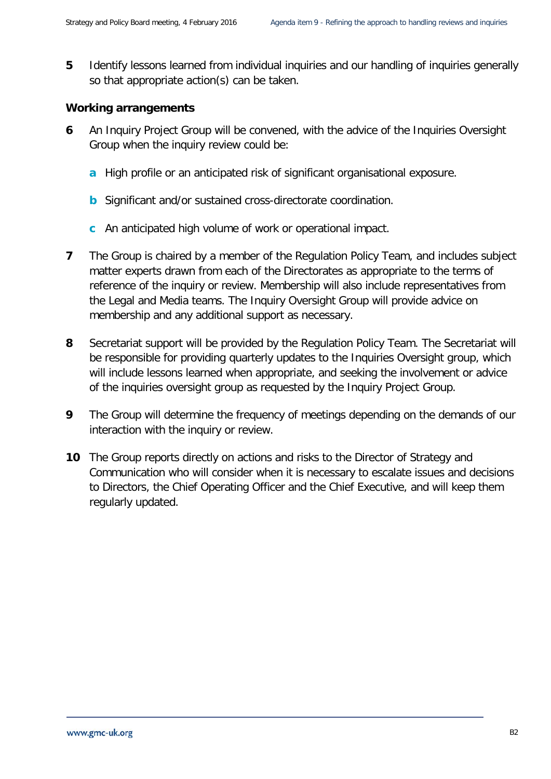**5** Identify lessons learned from individual inquiries and our handling of inquiries generally so that appropriate action(s) can be taken.

#### **Working arrangements**

- **6** An Inquiry Project Group will be convened, with the advice of the Inquiries Oversight Group when the inquiry review could be:
	- **a** High profile or an anticipated risk of significant organisational exposure.
	- **b** Significant and/or sustained cross-directorate coordination.
	- **c** An anticipated high volume of work or operational impact.
- **7** The Group is chaired by a member of the Regulation Policy Team, and includes subject matter experts drawn from each of the Directorates as appropriate to the terms of reference of the inquiry or review. Membership will also include representatives from the Legal and Media teams. The Inquiry Oversight Group will provide advice on membership and any additional support as necessary.
- **8** Secretariat support will be provided by the Regulation Policy Team. The Secretariat will be responsible for providing quarterly updates to the Inquiries Oversight group, which will include lessons learned when appropriate, and seeking the involvement or advice of the inquiries oversight group as requested by the Inquiry Project Group.
- **9** The Group will determine the frequency of meetings depending on the demands of our interaction with the inquiry or review.
- **10** The Group reports directly on actions and risks to the Director of Strategy and Communication who will consider when it is necessary to escalate issues and decisions to Directors, the Chief Operating Officer and the Chief Executive, and will keep them regularly updated.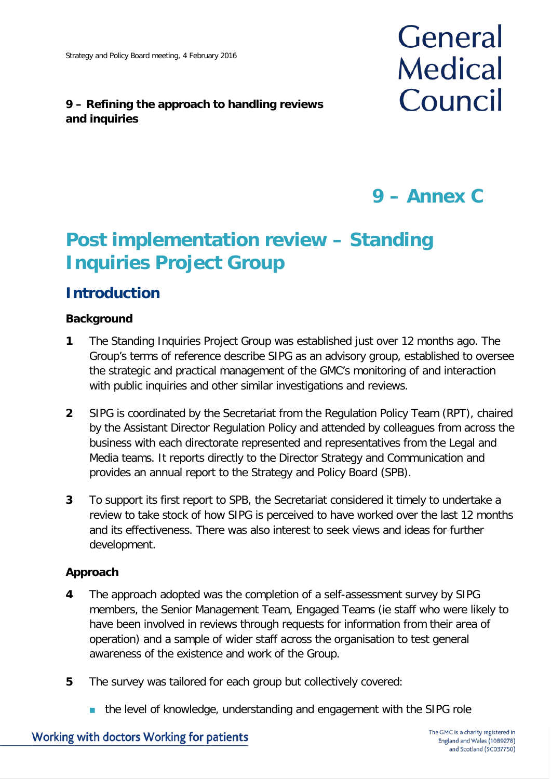#### **9 – Refining the approach to handling reviews and inquiries**



# **9 – Annex C**

# **Post implementation review – Standing Inquiries Project Group**

## **Introduction**

#### **Background**

- **1** The Standing Inquiries Project Group was established just over 12 months ago. The Group's terms of reference describe SIPG as an advisory group, established to oversee the strategic and practical management of the GMC's monitoring of and interaction with public inquiries and other similar investigations and reviews.
- **2** SIPG is coordinated by the Secretariat from the Regulation Policy Team (RPT), chaired by the Assistant Director Regulation Policy and attended by colleagues from across the business with each directorate represented and representatives from the Legal and Media teams. It reports directly to the Director Strategy and Communication and provides an annual report to the Strategy and Policy Board (SPB).
- **3** To support its first report to SPB, the Secretariat considered it timely to undertake a review to take stock of how SIPG is perceived to have worked over the last 12 months and its effectiveness. There was also interest to seek views and ideas for further development.

#### **Approach**

- **4** The approach adopted was the completion of a self-assessment survey by SIPG members, the Senior Management Team, Engaged Teams (ie staff who were likely to have been involved in reviews through requests for information from their area of operation) and a sample of wider staff across the organisation to test general awareness of the existence and work of the Group.
- **5** The survey was tailored for each group but collectively covered:
	- the level of knowledge, understanding and engagement with the SIPG role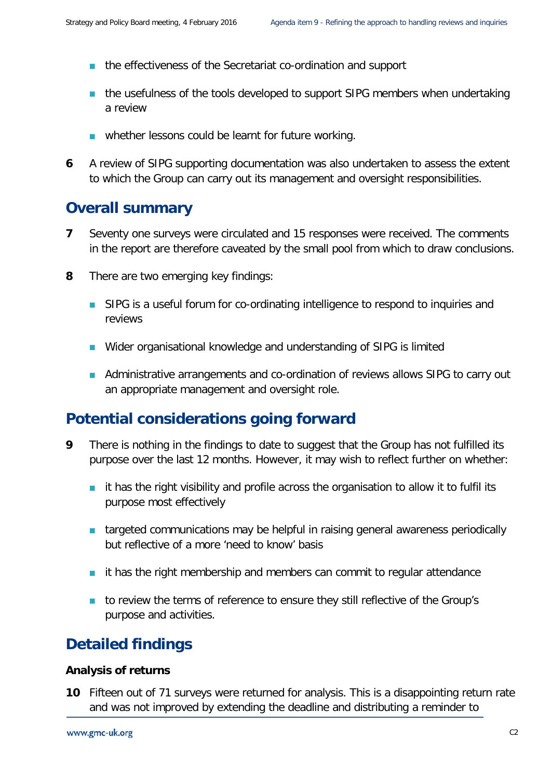- **the effectiveness of the Secretariat co-ordination and support**
- **the usefulness of the tools developed to support SIPG members when undertaking** a review
- whether lessons could be learnt for future working.
- **6** A review of SIPG supporting documentation was also undertaken to assess the extent to which the Group can carry out its management and oversight responsibilities.

### **Overall summary**

- **7** Seventy one surveys were circulated and 15 responses were received. The comments in the report are therefore caveated by the small pool from which to draw conclusions.
- **8** There are two emerging key findings:
	- **SIPG** is a useful forum for co-ordinating intelligence to respond to inquiries and reviews
	- Wider organisational knowledge and understanding of SIPG is limited
	- **Administrative arrangements and co-ordination of reviews allows SIPG to carry out** an appropriate management and oversight role.

## **Potential considerations going forward**

- **9** There is nothing in the findings to date to suggest that the Group has not fulfilled its purpose over the last 12 months. However, it may wish to reflect further on whether:
	- **i** it has the right visibility and profile across the organisation to allow it to fulfil its purpose most effectively
	- **targeted communications may be helpful in raising general awareness periodically** but reflective of a more 'need to know' basis
	- $\blacksquare$  it has the right membership and members can commit to regular attendance
	- to review the terms of reference to ensure they still reflective of the Group's purpose and activities.

## **Detailed findings**

#### **Analysis of returns**

**10** Fifteen out of 71 surveys were returned for analysis. This is a disappointing return rate and was not improved by extending the deadline and distributing a reminder to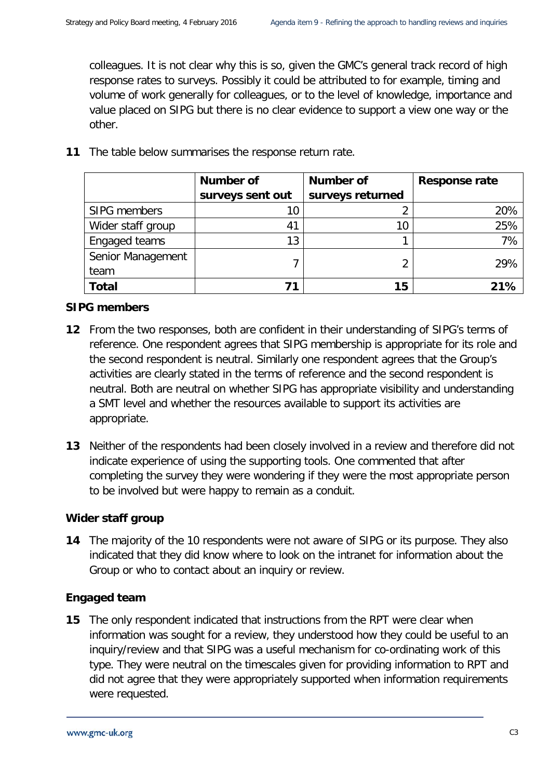colleagues. It is not clear why this is so, given the GMC's general track record of high response rates to surveys. Possibly it could be attributed to for example, timing and volume of work generally for colleagues, or to the level of knowledge, importance and value placed on SIPG but there is no clear evidence to support a view one way or the other.

|                   | <b>Number of</b> | <b>Number of</b> | <b>Response rate</b> |
|-------------------|------------------|------------------|----------------------|
|                   | surveys sent out | surveys returned |                      |
| SIPG members      | 10               |                  | 20%                  |
| Wider staff group | 41               | 10               | 25%                  |
| Engaged teams     | 13               |                  | 7%                   |
| Senior Management |                  |                  | 29%                  |
| team              |                  |                  |                      |
| <b>Total</b>      |                  | 15               | 21%                  |

**11** The table below summarises the response return rate.

#### **SIPG members**

- **12** From the two responses, both are confident in their understanding of SIPG's terms of reference. One respondent agrees that SIPG membership is appropriate for its role and the second respondent is neutral. Similarly one respondent agrees that the Group's activities are clearly stated in the terms of reference and the second respondent is neutral. Both are neutral on whether SIPG has appropriate visibility and understanding a SMT level and whether the resources available to support its activities are appropriate.
- **13** Neither of the respondents had been closely involved in a review and therefore did not indicate experience of using the supporting tools. One commented that after completing the survey they were wondering if they were the most appropriate person to be involved but were happy to remain as a conduit.

#### **Wider staff group**

**14** The majority of the 10 respondents were not aware of SIPG or its purpose. They also indicated that they did know where to look on the intranet for information about the Group or who to contact about an inquiry or review.

#### **Engaged team**

**15** The only respondent indicated that instructions from the RPT were clear when information was sought for a review, they understood how they could be useful to an inquiry/review and that SIPG was a useful mechanism for co-ordinating work of this type. They were neutral on the timescales given for providing information to RPT and did not agree that they were appropriately supported when information requirements were requested.